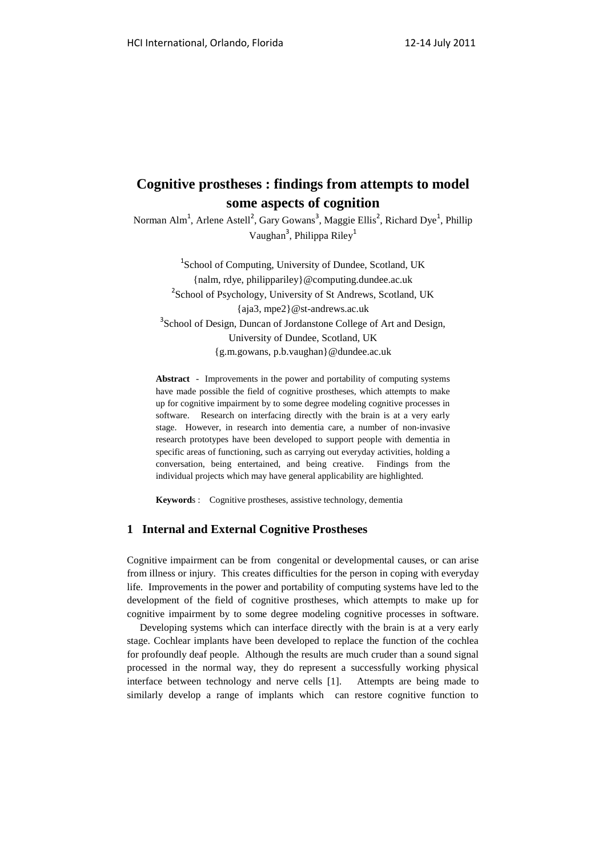# **Cognitive prostheses : findings from attempts to model some aspects of cognition**

Norman Alm<sup>1</sup>, Arlene Astell<sup>2</sup>, Gary Gowans<sup>3</sup>, Maggie Ellis<sup>2</sup>, Richard Dye<sup>1</sup>, Phillip Vaughan<sup>3</sup>, Philippa Riley<sup>1</sup>

<sup>1</sup>School of Computing, University of Dundee, Scotland, UK {nalm, rdye, philippariley}@computing.dundee.ac.uk <sup>2</sup>School of Psychology, University of St Andrews, Scotland, UK {aja3, mpe2}@st-andrews.ac.uk <sup>3</sup>School of Design, Duncan of Jordanstone College of Art and Design, University of Dundee, Scotland, UK {g.m.gowans, p.b.vaughan}@dundee.ac.uk

**Abstract** - Improvements in the power and portability of computing systems have made possible the field of cognitive prostheses, which attempts to make up for cognitive impairment by to some degree modeling cognitive processes in software. Research on interfacing directly with the brain is at a very early stage. However, in research into dementia care, a number of non-invasive research prototypes have been developed to support people with dementia in specific areas of functioning, such as carrying out everyday activities, holding a conversation, being entertained, and being creative. Findings from the individual projects which may have general applicability are highlighted.

**Keyword**s : Cognitive prostheses, assistive technology, dementia

# **1 Internal and External Cognitive Prostheses**

Cognitive impairment can be from congenital or developmental causes, or can arise from illness or injury. This creates difficulties for the person in coping with everyday life. Improvements in the power and portability of computing systems have led to the development of the field of cognitive prostheses, which attempts to make up for cognitive impairment by to some degree modeling cognitive processes in software.

 Developing systems which can interface directly with the brain is at a very early stage. Cochlear implants have been developed to replace the function of the cochlea for profoundly deaf people. Although the results are much cruder than a sound signal processed in the normal way, they do represent a successfully working physical interface between technology and nerve cells [1]. Attempts are being made to similarly develop a range of implants which can restore cognitive function to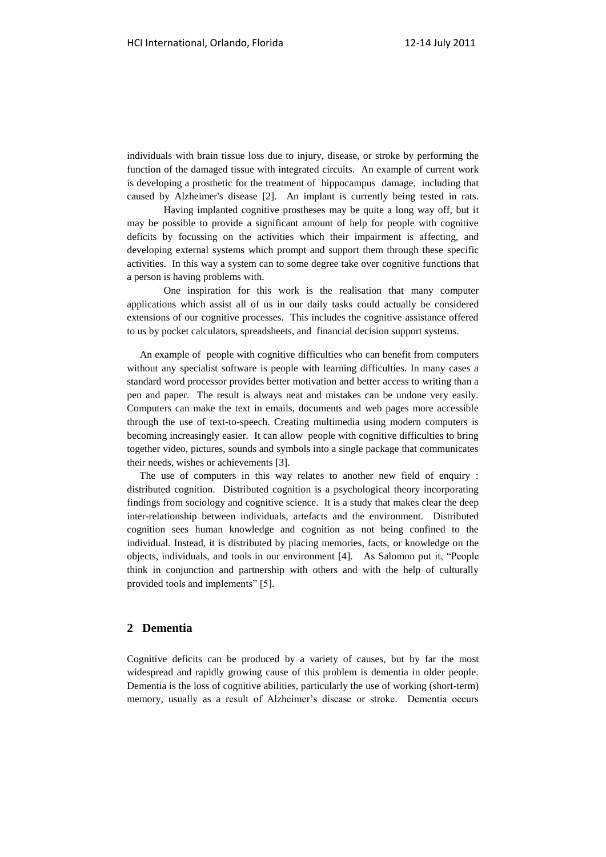individuals with brain tissue loss due to injury, disease, or stroke by performing the function of the damaged tissue with integrated circuits. An example of current work is developing a prosthetic for the treatment of hippocampus damage, including that caused by Alzheimer's disease [2]. An implant is currently being tested in rats.

Having implanted cognitive prostheses may be quite a long way off, but it may be possible to provide a significant amount of help for people with cognitive deficits by focussing on the activities which their impairment is affecting, and developing external systems which prompt and support them through these specific activities. In this way a system can to some degree take over cognitive functions that a person is having problems with.

One inspiration for this work is the realisation that many computer applications which assist all of us in our daily tasks could actually be considered extensions of our cognitive processes. This includes the cognitive assistance offered to us by pocket calculators, spreadsheets, and financial decision support systems.

 An example of people with cognitive difficulties who can benefit from computers without any specialist software is people with learning difficulties. In many cases a standard word processor provides better motivation and better access to writing than a pen and paper. The result is always neat and mistakes can be undone very easily. Computers can make the text in emails, documents and web pages more accessible through the use of [text-to-speech.](http://www.bltt.org/text2speech.htm) Creating multimedia using modern computers is becoming increasingly easier. It can allow people with cognitive difficulties to bring together video, pictures, sounds and symbols into a single package that communicates their needs, wishes or achievements [3].

 The use of computers in this way relates to another new field of enquiry : distributed cognition. Distributed cognition is a psychological theory incorporating findings from sociology and cognitive science. It is a study that makes clear the deep inter-relationship between individuals, artefacts and the environment. Distributed cognition sees human knowledge and cognition as not being confined to the individual. Instead, it is distributed by placing memories, facts, or knowledge on the objects, individuals, and tools in our environment [4]. As Salomon put it, "People think in conjunction and partnership with others and with the help of culturally provided tools and implements" [5].

## **2 Dementia**

Cognitive deficits can be produced by a variety of causes, but by far the most widespread and rapidly growing cause of this problem is dementia in older people. Dementia is the loss of cognitive abilities, particularly the use of working (short-term) memory, usually as a result of Alzheimer's disease or stroke. Dementia occurs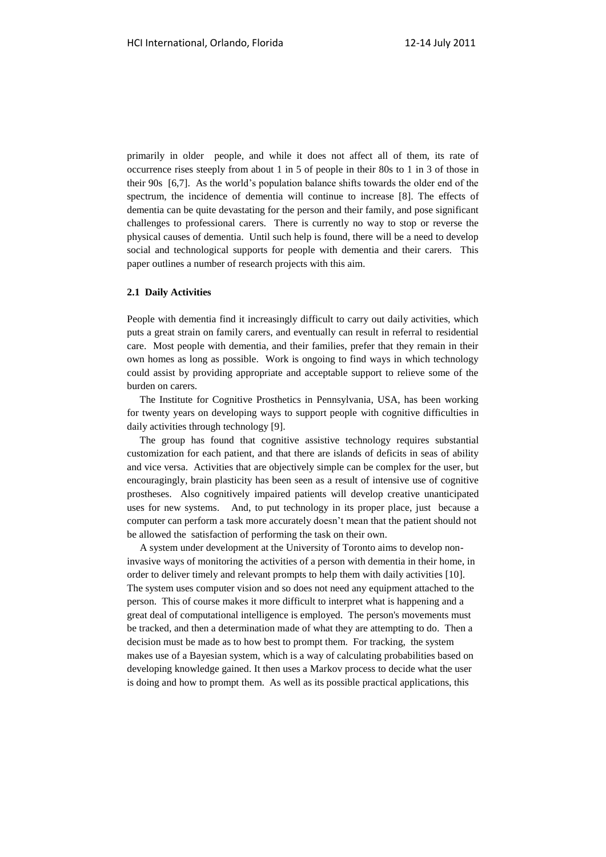primarily in older people, and while it does not affect all of them, its rate of occurrence rises steeply from about 1 in 5 of people in their 80s to 1 in 3 of those in their 90s [6,7]. As the world's population balance shifts towards the older end of the spectrum, the incidence of dementia will continue to increase [8]. The effects of dementia can be quite devastating for the person and their family, and pose significant challenges to professional carers. There is currently no way to stop or reverse the physical causes of dementia. Until such help is found, there will be a need to develop social and technological supports for people with dementia and their carers. This paper outlines a number of research projects with this aim.

### **2.1 Daily Activities**

People with dementia find it increasingly difficult to carry out daily activities, which puts a great strain on family carers, and eventually can result in referral to residential care. Most people with dementia, and their families, prefer that they remain in their own homes as long as possible. Work is ongoing to find ways in which technology could assist by providing appropriate and acceptable support to relieve some of the burden on carers.

 The Institute for Cognitive Prosthetics in Pennsylvania, USA, has been working for twenty years on developing ways to support people with cognitive difficulties in daily activities through technology [9].

 The group has found that cognitive assistive technology requires substantial customization for each patient, and that there are islands of deficits in seas of ability and vice versa. Activities that are objectively simple can be complex for the user, but encouragingly, brain plasticity has been seen as a result of intensive use of cognitive prostheses. Also cognitively impaired patients will develop creative unanticipated uses for new systems. And, to put technology in its proper place, just because a computer can perform a task more accurately doesn't mean that the patient should not be allowed the satisfaction of performing the task on their own.

 A system under development at the University of Toronto aims to develop noninvasive ways of monitoring the activities of a person with dementia in their home, in order to deliver timely and relevant prompts to help them with daily activities [10]. The system uses computer vision and so does not need any equipment attached to the person. This of course makes it more difficult to interpret what is happening and a great deal of computational intelligence is employed. The person's movements must be tracked, and then a determination made of what they are attempting to do. Then a decision must be made as to how best to prompt them. For tracking, the system makes use of a Bayesian system, which is a way of calculating probabilities based on developing knowledge gained. It then uses a Markov process to decide what the user is doing and how to prompt them. As well as its possible practical applications, this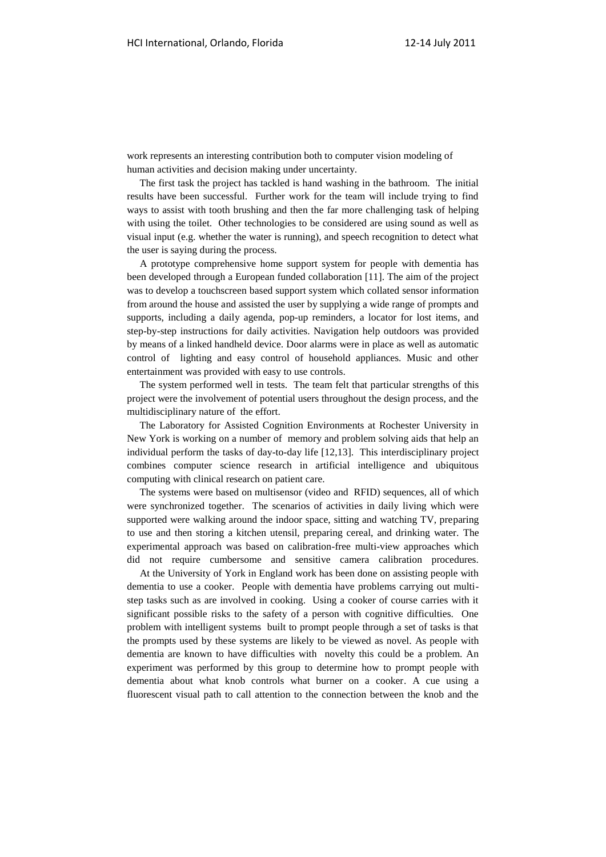work represents an interesting contribution both to computer vision modeling of human activities and decision making under uncertainty.

 The first task the project has tackled is hand washing in the bathroom. The initial results have been successful. Further work for the team will include trying to find ways to assist with tooth brushing and then the far more challenging task of helping with using the toilet. Other technologies to be considered are using sound as well as visual input (e.g. whether the water is running), and speech recognition to detect what the user is saying during the process.

 A prototype comprehensive home support system for people with dementia has been developed through a European funded collaboration [11]. The aim of the project was to develop a touchscreen based support system which collated sensor information from around the house and assisted the user by supplying a wide range of prompts and supports, including a daily agenda, pop-up reminders, a locator for lost items, and step-by-step instructions for daily activities. Navigation help outdoors was provided by means of a linked handheld device. Door alarms were in place as well as automatic control of lighting and easy control of household appliances. Music and other entertainment was provided with easy to use controls.

 The system performed well in tests. The team felt that particular strengths of this project were the involvement of potential users throughout the design process, and the multidisciplinary nature of the effort.

 The Laboratory for Assisted Cognition Environments at Rochester University in New York is working on a number of memory and problem solving aids that help an individual perform the tasks of day-to-day life [12,13]. This interdisciplinary project combines computer science research in artificial intelligence and ubiquitous computing with clinical research on patient care.

 The systems were based on multisensor (video and RFID) sequences, all of which were synchronized together. The scenarios of activities in daily living which were supported were walking around the indoor space, sitting and watching TV, preparing to use and then storing a kitchen utensil, preparing cereal, and drinking water. The experimental approach was based on calibration-free multi-view approaches which did not require cumbersome and sensitive camera calibration procedures.

 At the University of York in England work has been done on assisting people with dementia to use a cooker. People with dementia have problems carrying out multistep tasks such as are involved in cooking. Using a cooker of course carries with it significant possible risks to the safety of a person with cognitive difficulties. One problem with intelligent systems built to prompt people through a set of tasks is that the prompts used by these systems are likely to be viewed as novel. As people with dementia are known to have difficulties with novelty this could be a problem. An experiment was performed by this group to determine how to prompt people with dementia about what knob controls what burner on a cooker. A cue using a fluorescent visual path to call attention to the connection between the knob and the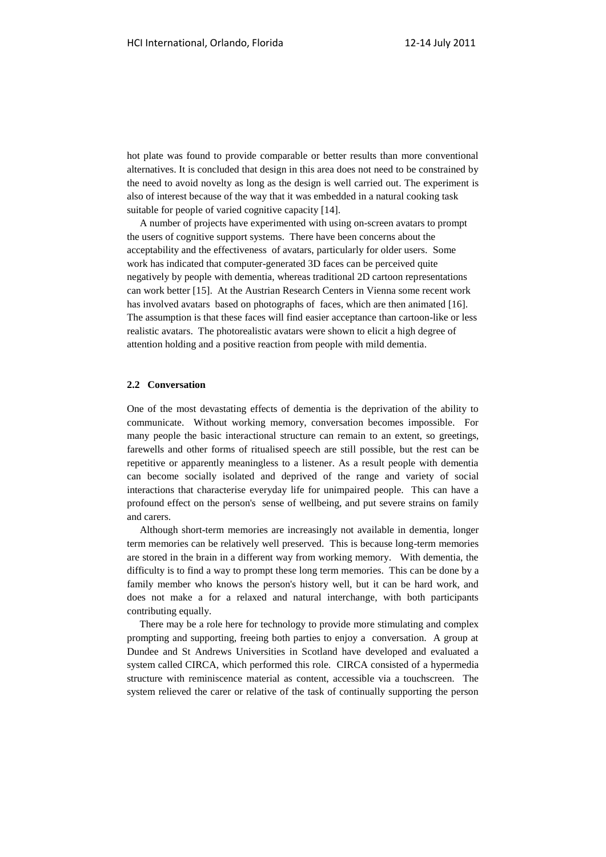hot plate was found to provide comparable or better results than more conventional alternatives. It is concluded that design in this area does not need to be constrained by the need to avoid novelty as long as the design is well carried out. The experiment is also of interest because of the way that it was embedded in a natural cooking task suitable for people of varied cognitive capacity [14].

 A number of projects have experimented with using on-screen avatars to prompt the users of cognitive support systems. There have been concerns about the acceptability and the effectiveness of avatars, particularly for older users. Some work has indicated that computer-generated 3D faces can be perceived quite negatively by people with dementia, whereas traditional 2D cartoon representations can work better [15]. At the Austrian Research Centers in Vienna some recent work has involved avatars based on photographs of faces, which are then animated [16]. The assumption is that these faces will find easier acceptance than cartoon-like or less realistic avatars. The photorealistic avatars were shown to elicit a high degree of attention holding and a positive reaction from people with mild dementia.

#### **2.2 Conversation**

One of the most devastating effects of dementia is the deprivation of the ability to communicate. Without working memory, conversation becomes impossible. For many people the basic interactional structure can remain to an extent, so greetings, farewells and other forms of ritualised speech are still possible, but the rest can be repetitive or apparently meaningless to a listener. As a result people with dementia can become socially isolated and deprived of the range and variety of social interactions that characterise everyday life for unimpaired people. This can have a profound effect on the person's sense of wellbeing, and put severe strains on family and carers.

 Although short-term memories are increasingly not available in dementia, longer term memories can be relatively well preserved. This is because long-term memories are stored in the brain in a different way from working memory. With dementia, the difficulty is to find a way to prompt these long term memories. This can be done by a family member who knows the person's history well, but it can be hard work, and does not make a for a relaxed and natural interchange, with both participants contributing equally.

 There may be a role here for technology to provide more stimulating and complex prompting and supporting, freeing both parties to enjoy a conversation. A group at Dundee and St Andrews Universities in Scotland have developed and evaluated a system called CIRCA, which performed this role. CIRCA consisted of a hypermedia structure with reminiscence material as content, accessible via a touchscreen. The system relieved the carer or relative of the task of continually supporting the person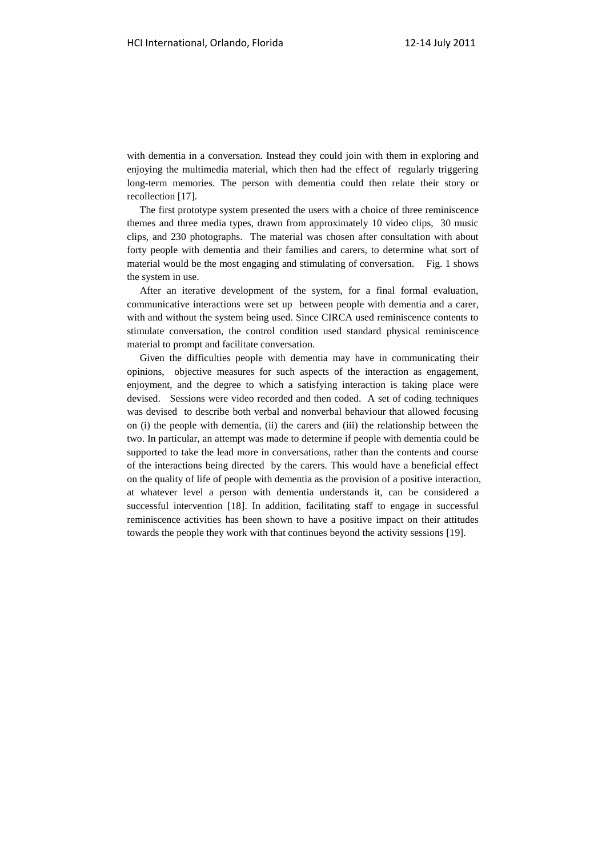with dementia in a conversation. Instead they could join with them in exploring and enjoying the multimedia material, which then had the effect of regularly triggering long-term memories. The person with dementia could then relate their story or recollection [17].

 The first prototype system presented the users with a choice of three reminiscence themes and three media types, drawn from approximately 10 video clips, 30 music clips, and 230 photographs. The material was chosen after consultation with about forty people with dementia and their families and carers, to determine what sort of material would be the most engaging and stimulating of conversation. Fig. 1 shows the system in use.

 After an iterative development of the system, for a final formal evaluation, communicative interactions were set up between people with dementia and a carer, with and without the system being used. Since CIRCA used reminiscence contents to stimulate conversation, the control condition used standard physical reminiscence material to prompt and facilitate conversation.

 Given the difficulties people with dementia may have in communicating their opinions, objective measures for such aspects of the interaction as engagement, enjoyment, and the degree to which a satisfying interaction is taking place were devised. Sessions were video recorded and then coded. A set of coding techniques was devised to describe both verbal and nonverbal behaviour that allowed focusing on (i) the people with dementia, (ii) the carers and (iii) the relationship between the two. In particular, an attempt was made to determine if people with dementia could be supported to take the lead more in conversations, rather than the contents and course of the interactions being directed by the carers. This would have a beneficial effect on the quality of life of people with dementia as the provision of a positive interaction, at whatever level a person with dementia understands it, can be considered a successful intervention [18]. In addition, facilitating staff to engage in successful reminiscence activities has been shown to have a positive impact on their attitudes towards the people they work with that continues beyond the activity sessions [19].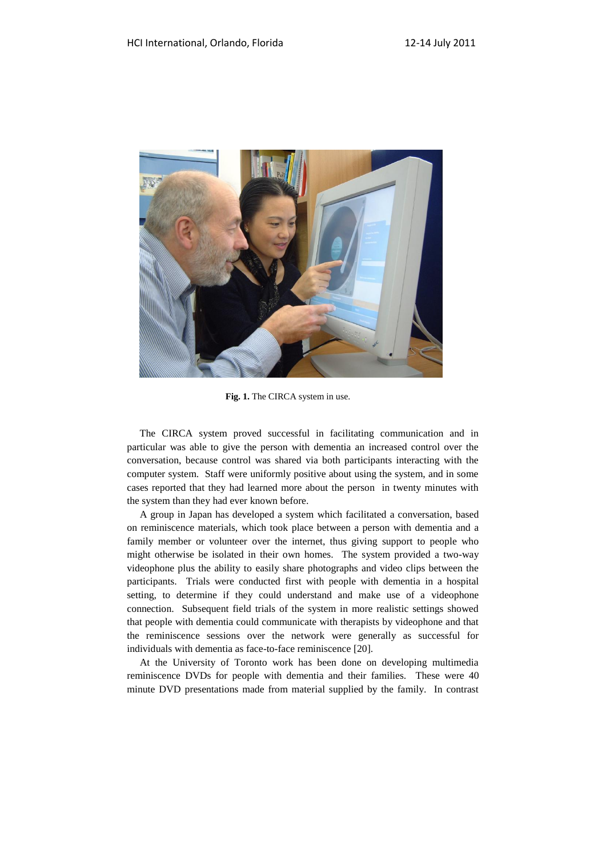

 **Fig. 1.** The CIRCA system in use.

 The CIRCA system proved successful in facilitating communication and in particular was able to give the person with dementia an increased control over the conversation, because control was shared via both participants interacting with the computer system. Staff were uniformly positive about using the system, and in some cases reported that they had learned more about the person in twenty minutes with the system than they had ever known before.

 A group in Japan has developed a system which facilitated a conversation, based on reminiscence materials, which took place between a person with dementia and a family member or volunteer over the internet, thus giving support to people who might otherwise be isolated in their own homes. The system provided a two-way videophone plus the ability to easily share photographs and video clips between the participants. Trials were conducted first with people with dementia in a hospital setting, to determine if they could understand and make use of a videophone connection. Subsequent field trials of the system in more realistic settings showed that people with dementia could communicate with therapists by videophone and that the reminiscence sessions over the network were generally as successful for individuals with dementia as face-to-face reminiscence [20].

 At the University of Toronto work has been done on developing multimedia reminiscence DVDs for people with dementia and their families. These were 40 minute DVD presentations made from material supplied by the family. In contrast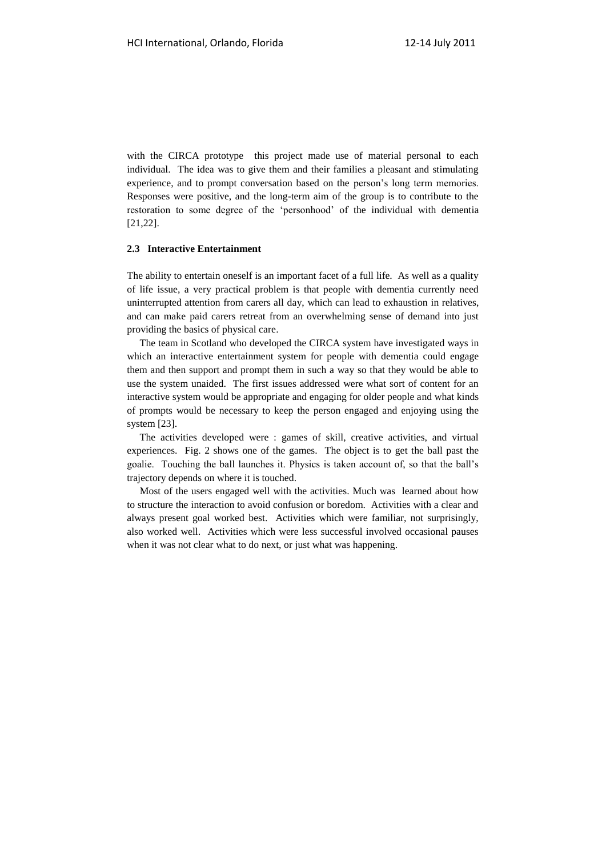with the CIRCA prototype this project made use of material personal to each individual. The idea was to give them and their families a pleasant and stimulating experience, and to prompt conversation based on the person's long term memories. Responses were positive, and the long-term aim of the group is to contribute to the restoration to some degree of the 'personhood' of the individual with dementia [21,22].

## **2.3 Interactive Entertainment**

The ability to entertain oneself is an important facet of a full life. As well as a quality of life issue, a very practical problem is that people with dementia currently need uninterrupted attention from carers all day, which can lead to exhaustion in relatives, and can make paid carers retreat from an overwhelming sense of demand into just providing the basics of physical care.

 The team in Scotland who developed the CIRCA system have investigated ways in which an interactive entertainment system for people with dementia could engage them and then support and prompt them in such a way so that they would be able to use the system unaided. The first issues addressed were what sort of content for an interactive system would be appropriate and engaging for older people and what kinds of prompts would be necessary to keep the person engaged and enjoying using the system [23].

 The activities developed were : games of skill, creative activities, and virtual experiences. Fig. 2 shows one of the games. The object is to get the ball past the goalie. Touching the ball launches it. Physics is taken account of, so that the ball's trajectory depends on where it is touched.

 Most of the users engaged well with the activities. Much was learned about how to structure the interaction to avoid confusion or boredom. Activities with a clear and always present goal worked best. Activities which were familiar, not surprisingly, also worked well. Activities which were less successful involved occasional pauses when it was not clear what to do next, or just what was happening.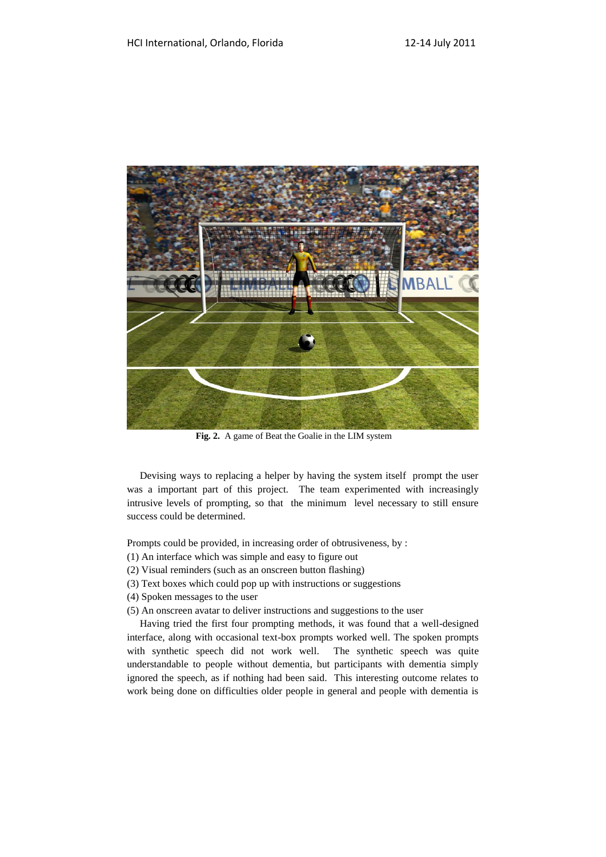

 **Fig. 2.** A game of Beat the Goalie in the LIM system

 Devising ways to replacing a helper by having the system itself prompt the user was a important part of this project. The team experimented with increasingly intrusive levels of prompting, so that the minimum level necessary to still ensure success could be determined.

Prompts could be provided, in increasing order of obtrusiveness, by :

- (1) An interface which was simple and easy to figure out
- (2) Visual reminders (such as an onscreen button flashing)
- (3) Text boxes which could pop up with instructions or suggestions
- (4) Spoken messages to the user
- (5) An onscreen avatar to deliver instructions and suggestions to the user

 Having tried the first four prompting methods, it was found that a well-designed interface, along with occasional text-box prompts worked well. The spoken prompts with synthetic speech did not work well. The synthetic speech was quite understandable to people without dementia, but participants with dementia simply ignored the speech, as if nothing had been said. This interesting outcome relates to work being done on difficulties older people in general and people with dementia is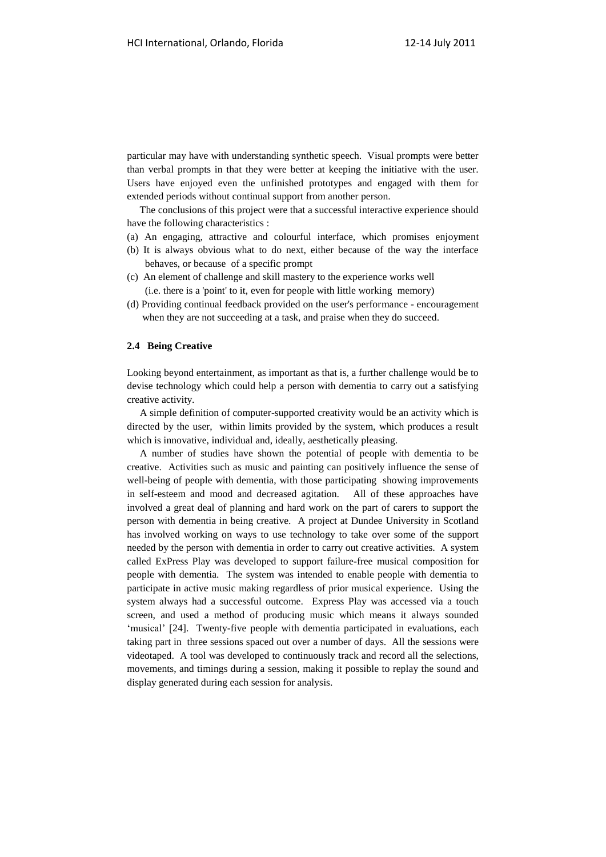particular may have with understanding synthetic speech. Visual prompts were better than verbal prompts in that they were better at keeping the initiative with the user. Users have enjoyed even the unfinished prototypes and engaged with them for extended periods without continual support from another person.

 The conclusions of this project were that a successful interactive experience should have the following characteristics :

- (a) An engaging, attractive and colourful interface, which promises enjoyment
- (b) It is always obvious what to do next, either because of the way the interface behaves, or because of a specific prompt
- (c) An element of challenge and skill mastery to the experience works well (i.e. there is a 'point' to it, even for people with little working memory)
- (d) Providing continual feedback provided on the user's performance encouragement when they are not succeeding at a task, and praise when they do succeed.

#### **2.4 Being Creative**

Looking beyond entertainment, as important as that is, a further challenge would be to devise technology which could help a person with dementia to carry out a satisfying creative activity.

 A simple definition of computer-supported creativity would be an activity which is directed by the user, within limits provided by the system, which produces a result which is innovative, individual and, ideally, aesthetically pleasing.

 A number of studies have shown the potential of people with dementia to be creative. Activities such as music and painting can positively influence the sense of well-being of people with dementia, with those participating showing improvements in self-esteem and mood and decreased agitation. All of these approaches have involved a great deal of planning and hard work on the part of carers to support the person with dementia in being creative. A project at Dundee University in Scotland has involved working on ways to use technology to take over some of the support needed by the person with dementia in order to carry out creative activities. A system called ExPress Play was developed to support failure-free musical composition for people with dementia. The system was intended to enable people with dementia to participate in active music making regardless of prior musical experience. Using the system always had a successful outcome. Express Play was accessed via a touch screen, and used a method of producing music which means it always sounded 'musical' [24]. Twenty-five people with dementia participated in evaluations, each taking part in three sessions spaced out over a number of days. All the sessions were videotaped. A tool was developed to continuously track and record all the selections, movements, and timings during a session, making it possible to replay the sound and display generated during each session for analysis.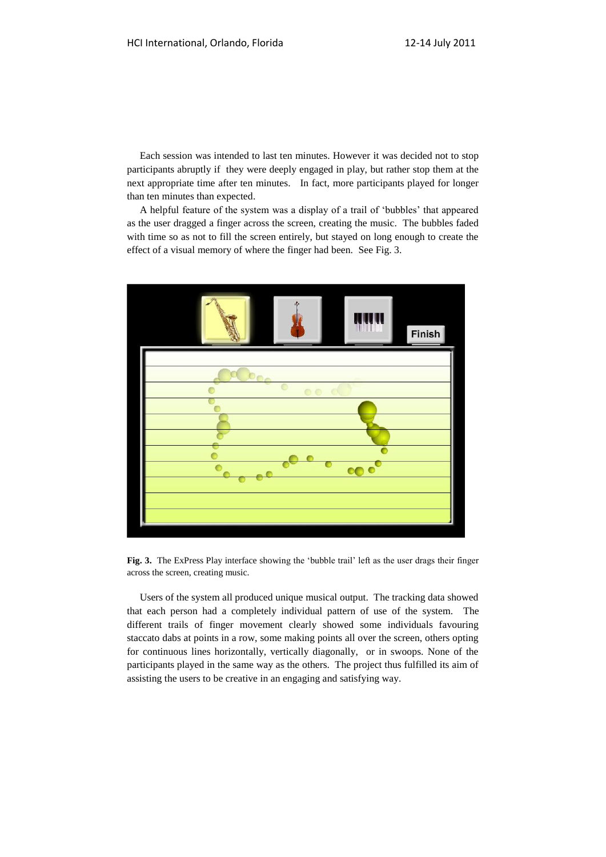Each session was intended to last ten minutes. However it was decided not to stop participants abruptly if they were deeply engaged in play, but rather stop them at the next appropriate time after ten minutes. In fact, more participants played for longer than ten minutes than expected.

 A helpful feature of the system was a display of a trail of 'bubbles' that appeared as the user dragged a finger across the screen, creating the music. The bubbles faded with time so as not to fill the screen entirely, but stayed on long enough to create the effect of a visual memory of where the finger had been. See Fig. 3.



**Fig. 3.** The ExPress Play interface showing the 'bubble trail' left as the user drags their finger across the screen, creating music.

 Users of the system all produced unique musical output. The tracking data showed that each person had a completely individual pattern of use of the system. The different trails of finger movement clearly showed some individuals favouring staccato dabs at points in a row, some making points all over the screen, others opting for continuous lines horizontally, vertically diagonally, or in swoops. None of the participants played in the same way as the others. The project thus fulfilled its aim of assisting the users to be creative in an engaging and satisfying way.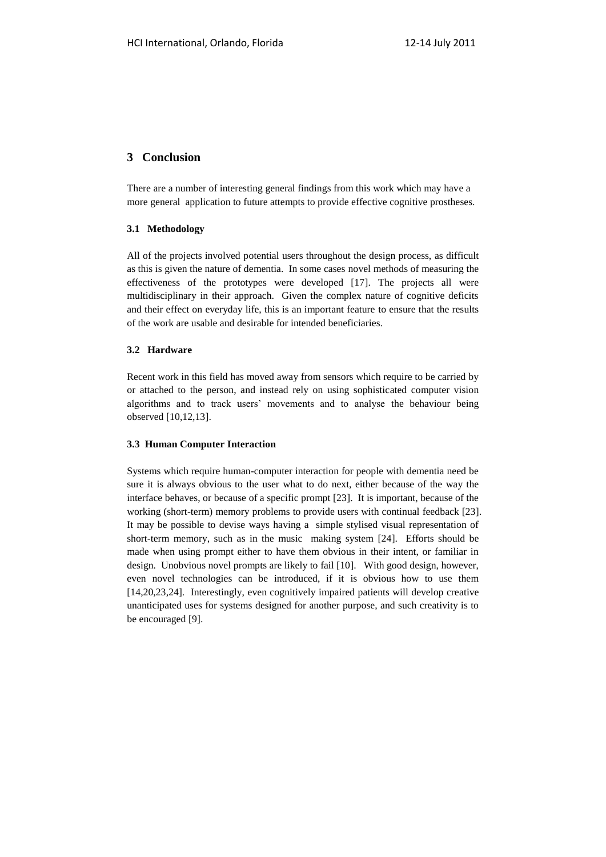# **3 Conclusion**

There are a number of interesting general findings from this work which may have a more general application to future attempts to provide effective cognitive prostheses.

#### 3.1 Methodology

All of the projects involved potential users throughout the design process, as difficult as this is given the nature of dementia. In some cases novel methods of measuring the effectiveness of the prototypes were developed [17]. The projects all were multidisciplinary in their approach. Given the complex nature of cognitive deficits and their effect on everyday life, this is an important feature to ensure that the results of the work are usable and desirable for intended beneficiaries.

## **3.2 Hardware**

Recent work in this field has moved away from sensors which require to be carried by or attached to the person, and instead rely on using sophisticated computer vision algorithms and to track users' movements and to analyse the behaviour being observed [10,12,13].

### **3.3 Human Computer Interaction**

Systems which require human-computer interaction for people with dementia need be sure it is always obvious to the user what to do next, either because of the way the interface behaves, or because of a specific prompt [23]. It is important, because of the working (short-term) memory problems to provide users with continual feedback [23]. It may be possible to devise ways having a simple stylised visual representation of short-term memory, such as in the music making system [24]. Efforts should be made when using prompt either to have them obvious in their intent, or familiar in design. Unobvious novel prompts are likely to fail [10]. With good design, however, even novel technologies can be introduced, if it is obvious how to use them [14,20,23,24]. Interestingly, even cognitively impaired patients will develop creative unanticipated uses for systems designed for another purpose, and such creativity is to be encouraged [9].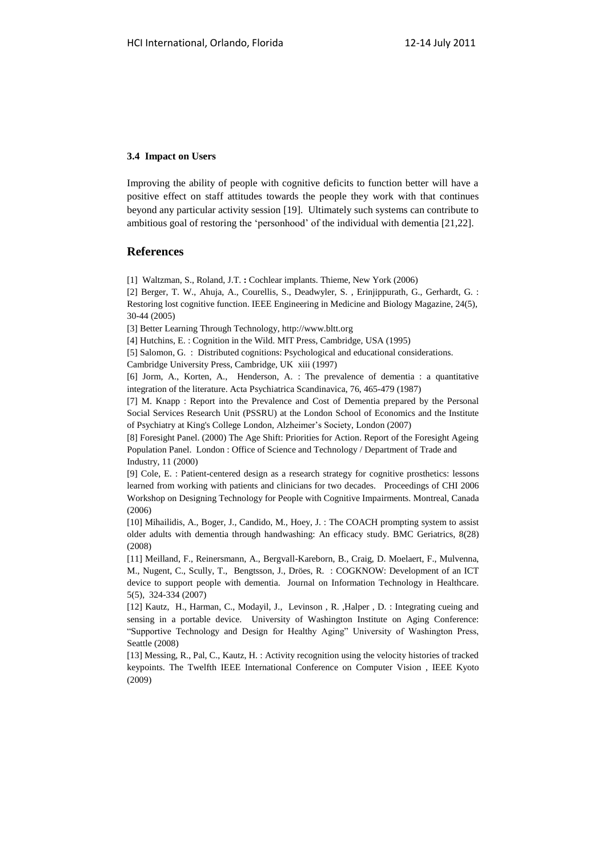#### **3.4 Impact on Users**

Improving the ability of people with cognitive deficits to function better will have a positive effect on staff attitudes towards the people they work with that continues beyond any particular activity session [19]. Ultimately such systems can contribute to ambitious goal of restoring the 'personhood' of the individual with dementia [21,22].

## **References**

[1] [Waltzman,](http://www.google.co.uk/search?tbs=bks:1&tbo=p&q=+inauthor:%22Susan+B.+Waltzman%22) S., [Roland,](http://www.google.co.uk/search?tbs=bks:1&tbo=p&q=+inauthor:%22J.+Thomas+Roland%22) J.T. **:** Cochlear implants. Thieme, New York (2006)

[2] Berger, T. W., Ahuja, A., Courellis, S., Deadwyler, S. , Erinjippurath, G., Gerhardt, G. : Restoring lost cognitive function. IEEE Engineering in Medicine and Biology Magazine, 24(5), 30-44 (2005)

[3] Better Learning Through Technology, http://www.bltt.org

[4] Hutchins, E. : Cognition in the Wild. MIT Press, Cambridge, USA (1995)

[5] Salomon, G. : Distributed cognitions: Psychological and educational considerations.

Cambridge University Press, Cambridge, UK xiii (1997)

[6] Jorm, A., Korten, A., Henderson, A. : The prevalence of dementia : a quantitative integration of the literature. Acta Psychiatrica Scandinavica, 76, 465-479 (1987)

[7] M. Knapp : Report into the Prevalence and Cost of Dementia prepared by the Personal Social Services Research Unit (PSSRU) at the London School of Economics and the Institute of Psychiatry at King's College London, Alzheimer's Society, London (2007)

[8] Foresight Panel. (2000) The Age Shift: Priorities for Action. Report of the Foresight Ageing Population Panel. London : Office of Science and Technology / Department of Trade and Industry, 11 (2000)

[9] Cole, E. : Patient-centered design as a research strategy for cognitive prosthetics: lessons learned from working with patients and clinicians for two decades. Proceedings of CHI 2006 Workshop on Designing Technology for People with Cognitive Impairments. Montreal, Canada (2006)

[10] Mihailidis, A., Boger, J., Candido, M., Hoey, J. : The COACH prompting system to assist older adults with dementia through handwashing: An efficacy study. BMC Geriatrics, 8(28) (2008)

[11] Meilland, F., Reinersmann, A., Bergvall-Kareborn, B., Craig, D. Moelaert, F., Mulvenna, M., Nugent, C., Scully, T., Bengtsson, J., Dröes, R. : COGKNOW: Development of an ICT device to support people with dementia. Journal on Information Technology in Healthcare. 5(5), 324-334 (2007)

[12] Kautz, H., Harman, C., Modayil, J., Levinson , R. ,Halper , D. : Integrating cueing and sensing in a portable device. University of Washington Institute on Aging Conference: "Supportive Technology and Design for Healthy Aging" University of Washington Press, Seattle (2008)

[13] Messing, R., Pal, C., Kautz, H. : Activity recognition using the velocity histories of tracked keypoints. The Twelfth IEEE International Conference on Computer Vision , IEEE Kyoto (2009)